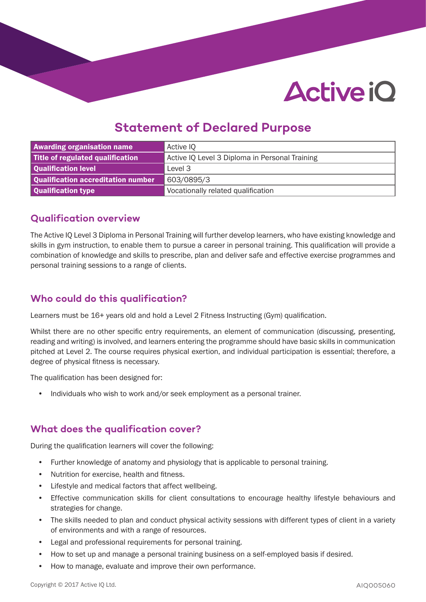# **Active iO**

### **Statement of Declared Purpose**

| <b>Awarding organisation name</b>  | Active IO                                      |  |
|------------------------------------|------------------------------------------------|--|
| Title of regulated qualification   | Active IQ Level 3 Diploma in Personal Training |  |
| Qualification level                | Level 3                                        |  |
| Qualification accreditation number | 603/0895/3                                     |  |
| Qualification type                 | Vocationally related qualification             |  |

#### **Qualification overview**

The Active IQ Level 3 Diploma in Personal Training will further develop learners, who have existing knowledge and skills in gym instruction, to enable them to pursue a career in personal training. This qualification will provide a combination of knowledge and skills to prescribe, plan and deliver safe and effective exercise programmes and personal training sessions to a range of clients.

#### **Who could do this qualification?**

Learners must be 16+ years old and hold a Level 2 Fitness Instructing (Gym) qualification.

Whilst there are no other specific entry requirements, an element of communication (discussing, presenting, reading and writing) is involved, and learners entering the programme should have basic skills in communication pitched at Level 2. The course requires physical exertion, and individual participation is essential; therefore, a degree of physical fitness is necessary.

The qualification has been designed for:

• Individuals who wish to work and/or seek employment as a personal trainer.

#### **What does the qualification cover?**

During the qualification learners will cover the following:

- Further knowledge of anatomy and physiology that is applicable to personal training.
- Nutrition for exercise, health and fitness.
- Lifestyle and medical factors that affect wellbeing.
- Effective communication skills for client consultations to encourage healthy lifestyle behaviours and strategies for change.
- The skills needed to plan and conduct physical activity sessions with different types of client in a variety of environments and with a range of resources.
- Legal and professional requirements for personal training.
- How to set up and manage a personal training business on a self-employed basis if desired.
- How to manage, evaluate and improve their own performance.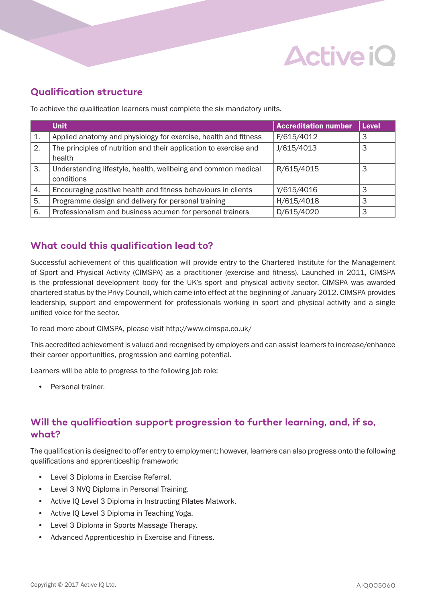## **Active iO**

#### **Qualification structure**

To achieve the qualification learners must complete the six mandatory units.

|    | <b>Unit</b>                                                                 | <b>Accreditation number</b> | <b>Level</b> |
|----|-----------------------------------------------------------------------------|-----------------------------|--------------|
| 1. | Applied anatomy and physiology for exercise, health and fitness             | F/615/4012                  | З            |
| 2. | The principles of nutrition and their application to exercise and<br>health | J/615/4013                  | З            |
| 3. | Understanding lifestyle, health, wellbeing and common medical<br>conditions | R/615/4015                  | 3            |
| 4. | Encouraging positive health and fitness behaviours in clients               | Y/615/4016                  | 3            |
| 5. | Programme design and delivery for personal training                         | H/615/4018                  | 3            |
| 6. | Professionalism and business acumen for personal trainers                   | D/615/4020                  | З            |

#### **What could this qualification lead to?**

Successful achievement of this qualification will provide entry to the Chartered Institute for the Management of Sport and Physical Activity (CIMSPA) as a practitioner (exercise and fitness). Launched in 2011, CIMSPA is the professional development body for the UK's sport and physical activity sector. CIMSPA was awarded chartered status by the Privy Council, which came into effect at the beginning of January 2012. CIMSPA provides leadership, support and empowerment for professionals working in sport and physical activity and a single unified voice for the sector.

To read more about CIMSPA, please visit http://www.cimspa.co.uk/

This accredited achievement is valued and recognised by employers and can assist learners to increase/enhance their career opportunities, progression and earning potential.

Learners will be able to progress to the following job role:

• Personal trainer.

#### **Will the qualification support progression to further learning, and, if so, what?**

The qualification is designed to offer entry to employment; however, learners can also progress onto the following qualifications and apprenticeship framework:

- Level 3 Diploma in Exercise Referral.
- Level 3 NVQ Diploma in Personal Training.
- Active IQ Level 3 Diploma in Instructing Pilates Matwork.
- Active IQ Level 3 Diploma in Teaching Yoga.
- Level 3 Diploma in Sports Massage Therapy.
- Advanced Apprenticeship in Exercise and Fitness.